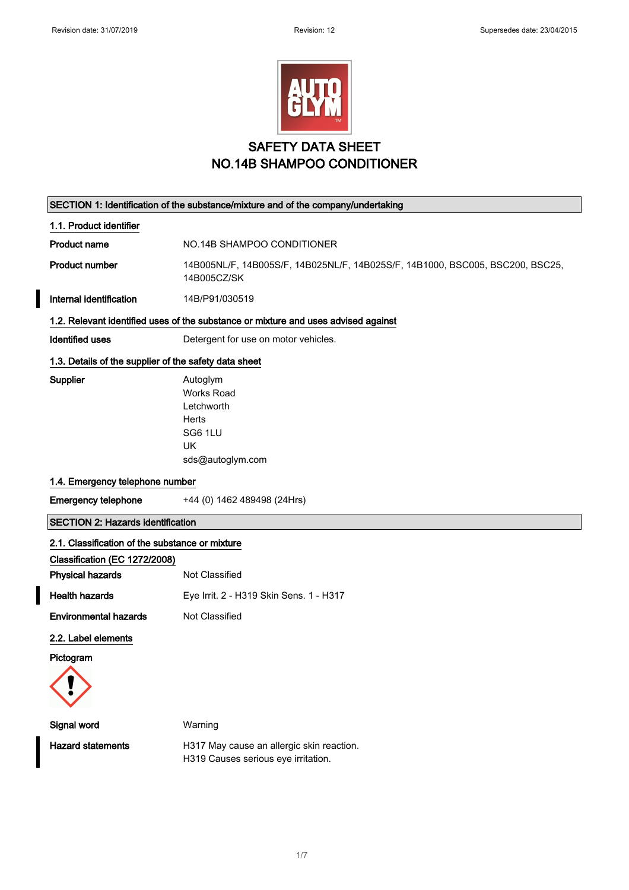

# SAFETY DATA SHEET NO.14B SHAMPOO CONDITIONER

|                                                       | SECTION 1: Identification of the substance/mixture and of the company/undertaking            |
|-------------------------------------------------------|----------------------------------------------------------------------------------------------|
| 1.1. Product identifier                               |                                                                                              |
| <b>Product name</b>                                   | NO.14B SHAMPOO CONDITIONER                                                                   |
| <b>Product number</b>                                 | 14B005NL/F, 14B005S/F, 14B025NL/F, 14B025S/F, 14B1000, BSC005, BSC200, BSC25,<br>14B005CZ/SK |
| Internal identification                               | 14B/P91/030519                                                                               |
|                                                       | 1.2. Relevant identified uses of the substance or mixture and uses advised against           |
| <b>Identified uses</b>                                | Detergent for use on motor vehicles.                                                         |
| 1.3. Details of the supplier of the safety data sheet |                                                                                              |
| Supplier                                              | Autoglym<br><b>Works Road</b><br>Letchworth<br>Herts<br>SG6 1LU<br>UK<br>sds@autoglym.com    |
| 1.4. Emergency telephone number                       |                                                                                              |
| <b>Emergency telephone</b>                            | +44 (0) 1462 489498 (24Hrs)                                                                  |
| <b>SECTION 2: Hazards identification</b>              |                                                                                              |
| 2.1. Classification of the substance or mixture       |                                                                                              |
| Classification (EC 1272/2008)                         |                                                                                              |
| <b>Physical hazards</b>                               | Not Classified                                                                               |
| <b>Health hazards</b>                                 | Eye Irrit. 2 - H319 Skin Sens. 1 - H317                                                      |
| <b>Environmental hazards</b>                          | Not Classified                                                                               |
| 2.2. Label elements                                   |                                                                                              |
| Pictogram                                             |                                                                                              |
|                                                       |                                                                                              |
| Signal word                                           | Warning                                                                                      |

Hazard statements **H317 May cause an allergic skin reaction**. H319 Causes serious eye irritation.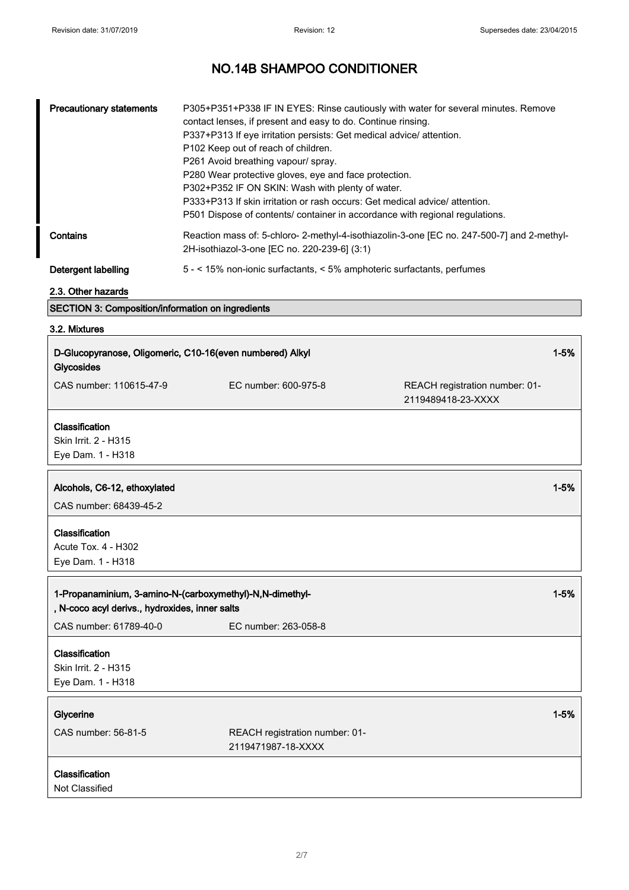┓

# NO.14B SHAMPOO CONDITIONER

| <b>Precautionary statements</b> | P305+P351+P338 IF IN EYES: Rinse cautiously with water for several minutes. Remove<br>contact lenses, if present and easy to do. Continue rinsing.<br>P337+P313 If eye irritation persists: Get medical advice/ attention.<br>P102 Keep out of reach of children.<br>P261 Avoid breathing vapour/ spray.<br>P280 Wear protective gloves, eye and face protection.<br>P302+P352 IF ON SKIN: Wash with plenty of water.<br>P333+P313 If skin irritation or rash occurs: Get medical advice/attention.<br>P501 Dispose of contents/ container in accordance with regional regulations. |
|---------------------------------|-------------------------------------------------------------------------------------------------------------------------------------------------------------------------------------------------------------------------------------------------------------------------------------------------------------------------------------------------------------------------------------------------------------------------------------------------------------------------------------------------------------------------------------------------------------------------------------|
| Contains                        | Reaction mass of: 5-chloro-2-methyl-4-isothiazolin-3-one [EC no. 247-500-7] and 2-methyl-<br>2H-isothiazol-3-one [EC no. 220-239-6] (3:1)                                                                                                                                                                                                                                                                                                                                                                                                                                           |
| Detergent labelling             | 5 - < 15% non-ionic surfactants, < 5% amphoteric surfactants, perfumes                                                                                                                                                                                                                                                                                                                                                                                                                                                                                                              |

## 2.3. Other hazards

## SECTION 3: Composition/information on ingredients

### 3.2. Mixtures

| D-Glucopyranose, Oligomeric, C10-16(even numbered) Alkyl<br>Glycosides                                     |                                                      |                                                      | $1 - 5%$ |
|------------------------------------------------------------------------------------------------------------|------------------------------------------------------|------------------------------------------------------|----------|
| CAS number: 110615-47-9                                                                                    | EC number: 600-975-8                                 | REACH registration number: 01-<br>2119489418-23-XXXX |          |
| Classification<br>Skin Irrit. 2 - H315<br>Eye Dam. 1 - H318                                                |                                                      |                                                      |          |
| Alcohols, C6-12, ethoxylated<br>CAS number: 68439-45-2                                                     |                                                      |                                                      | $1 - 5%$ |
| Classification<br>Acute Tox. 4 - H302<br>Eye Dam. 1 - H318                                                 |                                                      |                                                      |          |
|                                                                                                            |                                                      |                                                      |          |
| 1-Propanaminium, 3-amino-N-(carboxymethyl)-N,N-dimethyl-<br>, N-coco acyl derivs., hydroxides, inner salts |                                                      |                                                      | $1 - 5%$ |
| CAS number: 61789-40-0                                                                                     | EC number: 263-058-8                                 |                                                      |          |
| Classification<br>Skin Irrit. 2 - H315<br>Eye Dam. 1 - H318                                                |                                                      |                                                      |          |
| Glycerine                                                                                                  |                                                      |                                                      | $1 - 5%$ |
| CAS number: 56-81-5                                                                                        | REACH registration number: 01-<br>2119471987-18-XXXX |                                                      |          |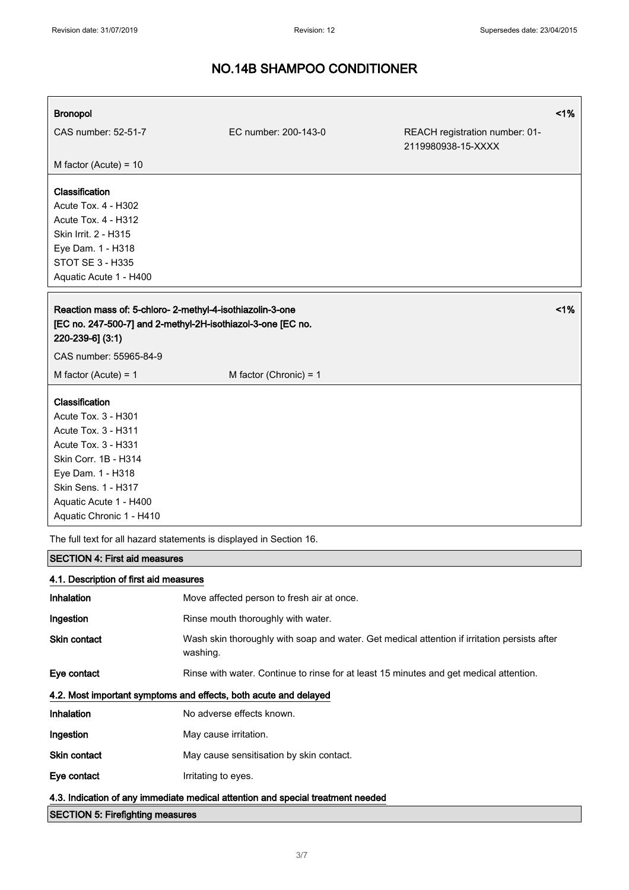# Bronopol <1% CAS number: 52-51-7 EC number: 200-143-0 REACH registration number: 01- 2119980938-15-XXXX M factor (Acute) = 10 Classification Acute Tox. 4 - H302 Acute Tox. 4 - H312 Skin Irrit. 2 - H315 Eye Dam. 1 - H318 STOT SE 3 - H335 Aquatic Acute 1 - H400 Reaction mass of: 5-chloro- 2-methyl-4-isothiazolin-3-one [EC no. 247-500-7] and 2-methyl-2H-isothiazol-3-one [EC no. 220-239-6] (3:1) <1% CAS number: 55965-84-9  $M$  factor (Acute) = 1 M factor (Chronic) = 1 Classification Acute Tox. 3 - H301 Acute Tox. 3 - H311 Acute Tox. 3 - H331 Skin Corr. 1B - H314 Eye Dam. 1 - H318 Skin Sens. 1 - H317 Aquatic Acute 1 - H400 Aquatic Chronic 1 - H410 The full text for all hazard statements is displayed in Section 16. SECTION 4: First aid measures 4.1. Description of first aid measures Inhalation Move affected person to fresh air at once. Ingestion **Rinse mouth thoroughly with water.**

Skin contact Wash skin thoroughly with soap and water. Get medical attention if irritation persists after washing.

Eye contact Rinse with water. Continue to rinse for at least 15 minutes and get medical attention.

#### 4.2. Most important symptoms and effects, both acute and delayed

| Inhalation   | No adverse effects known.                |
|--------------|------------------------------------------|
| Ingestion    | May cause irritation.                    |
| Skin contact | May cause sensitisation by skin contact. |
| Eye contact  | Irritating to eyes.                      |

4.3. Indication of any immediate medical attention and special treatment needed

SECTION 5: Firefighting measures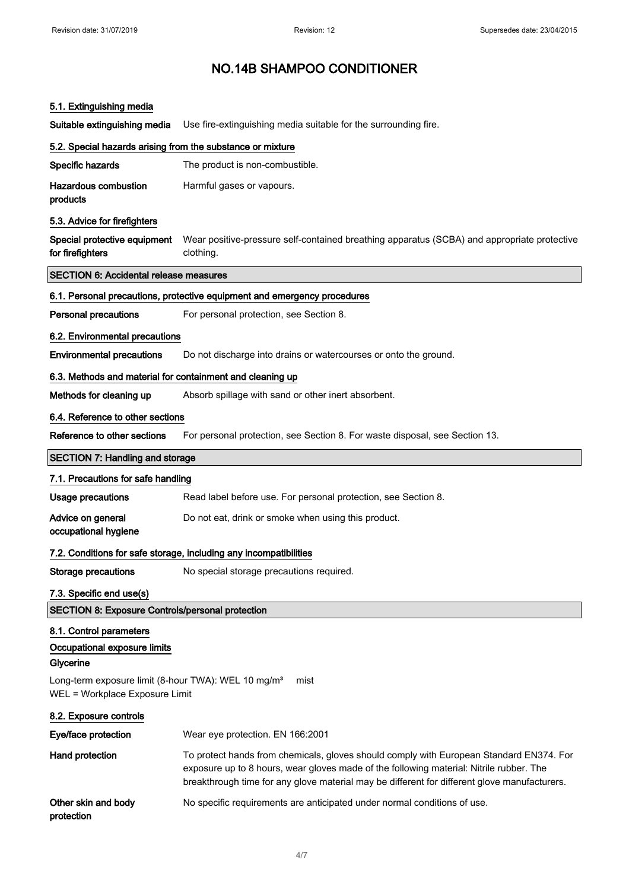## 5.1. Extinguishing media

Suitable extinguishing media Use fire-extinguishing media suitable for the surrounding fire.

| 5.2. Special hazards arising from the substance or mixture                                                |                                                                                                                                                                                                                                                                                    |
|-----------------------------------------------------------------------------------------------------------|------------------------------------------------------------------------------------------------------------------------------------------------------------------------------------------------------------------------------------------------------------------------------------|
| Specific hazards                                                                                          | The product is non-combustible.                                                                                                                                                                                                                                                    |
| <b>Hazardous combustion</b><br>products                                                                   | Harmful gases or vapours.                                                                                                                                                                                                                                                          |
| 5.3. Advice for firefighters                                                                              |                                                                                                                                                                                                                                                                                    |
| Special protective equipment<br>for firefighters                                                          | Wear positive-pressure self-contained breathing apparatus (SCBA) and appropriate protective<br>clothing.                                                                                                                                                                           |
| <b>SECTION 6: Accidental release measures</b>                                                             |                                                                                                                                                                                                                                                                                    |
|                                                                                                           | 6.1. Personal precautions, protective equipment and emergency procedures                                                                                                                                                                                                           |
| <b>Personal precautions</b>                                                                               | For personal protection, see Section 8.                                                                                                                                                                                                                                            |
| 6.2. Environmental precautions                                                                            |                                                                                                                                                                                                                                                                                    |
| <b>Environmental precautions</b>                                                                          | Do not discharge into drains or watercourses or onto the ground.                                                                                                                                                                                                                   |
| 6.3. Methods and material for containment and cleaning up                                                 |                                                                                                                                                                                                                                                                                    |
| Methods for cleaning up                                                                                   | Absorb spillage with sand or other inert absorbent.                                                                                                                                                                                                                                |
| 6.4. Reference to other sections                                                                          |                                                                                                                                                                                                                                                                                    |
| Reference to other sections                                                                               | For personal protection, see Section 8. For waste disposal, see Section 13.                                                                                                                                                                                                        |
| <b>SECTION 7: Handling and storage</b>                                                                    |                                                                                                                                                                                                                                                                                    |
| 7.1. Precautions for safe handling                                                                        |                                                                                                                                                                                                                                                                                    |
| <b>Usage precautions</b>                                                                                  | Read label before use. For personal protection, see Section 8.                                                                                                                                                                                                                     |
| Advice on general<br>occupational hygiene                                                                 | Do not eat, drink or smoke when using this product.                                                                                                                                                                                                                                |
|                                                                                                           | 7.2. Conditions for safe storage, including any incompatibilities                                                                                                                                                                                                                  |
| <b>Storage precautions</b>                                                                                | No special storage precautions required.                                                                                                                                                                                                                                           |
| 7.3. Specific end use(s)                                                                                  |                                                                                                                                                                                                                                                                                    |
| <b>SECTION 8: Exposure Controls/personal protection</b>                                                   |                                                                                                                                                                                                                                                                                    |
| 8.1. Control parameters<br>Occupational exposure limits<br>Glycerine                                      |                                                                                                                                                                                                                                                                                    |
| Long-term exposure limit (8-hour TWA): WEL 10 mg/m <sup>3</sup><br>mist<br>WEL = Workplace Exposure Limit |                                                                                                                                                                                                                                                                                    |
| 8.2. Exposure controls                                                                                    |                                                                                                                                                                                                                                                                                    |
| Eye/face protection                                                                                       | Wear eye protection. EN 166:2001                                                                                                                                                                                                                                                   |
| Hand protection                                                                                           | To protect hands from chemicals, gloves should comply with European Standard EN374. For<br>exposure up to 8 hours, wear gloves made of the following material: Nitrile rubber. The<br>breakthrough time for any glove material may be different for different glove manufacturers. |
| Other skin and body<br>protection                                                                         | No specific requirements are anticipated under normal conditions of use.                                                                                                                                                                                                           |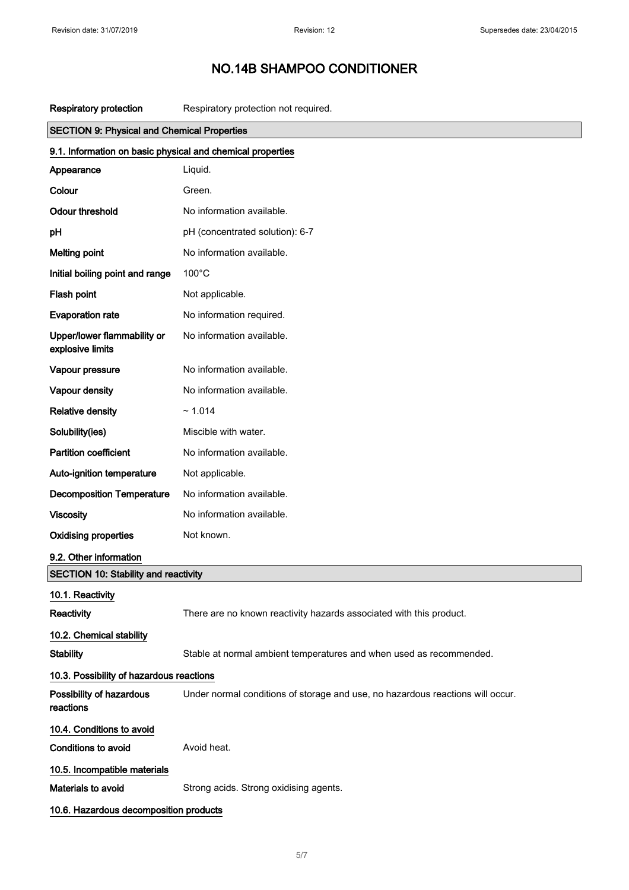Respiratory protection Respiratory protection not required.

| <b>SECTION 9: Physical and Chemical Properties</b>         |                                                                                |  |
|------------------------------------------------------------|--------------------------------------------------------------------------------|--|
| 9.1. Information on basic physical and chemical properties |                                                                                |  |
| Appearance                                                 | Liquid.                                                                        |  |
| Colour                                                     | Green.                                                                         |  |
| <b>Odour threshold</b>                                     | No information available.                                                      |  |
| pH                                                         | pH (concentrated solution): 6-7                                                |  |
| <b>Melting point</b>                                       | No information available.                                                      |  |
| Initial boiling point and range                            | $100^{\circ}$ C                                                                |  |
| Flash point                                                | Not applicable.                                                                |  |
| <b>Evaporation rate</b>                                    | No information required.                                                       |  |
| Upper/lower flammability or<br>explosive limits            | No information available.                                                      |  |
| Vapour pressure                                            | No information available.                                                      |  |
| Vapour density                                             | No information available.                                                      |  |
| <b>Relative density</b>                                    | ~1.014                                                                         |  |
| Solubility(ies)                                            | Miscible with water.                                                           |  |
| <b>Partition coefficient</b>                               | No information available.                                                      |  |
| Auto-ignition temperature                                  | Not applicable.                                                                |  |
| <b>Decomposition Temperature</b>                           | No information available.                                                      |  |
| <b>Viscosity</b>                                           | No information available.                                                      |  |
| <b>Oxidising properties</b>                                | Not known.                                                                     |  |
| 9.2. Other information                                     |                                                                                |  |
| <b>SECTION 10: Stability and reactivity</b>                |                                                                                |  |
| 10.1. Reactivity                                           |                                                                                |  |
| Reactivity                                                 | There are no known reactivity hazards associated with this product.            |  |
| 10.2. Chemical stability                                   |                                                                                |  |
| <b>Stability</b>                                           | Stable at normal ambient temperatures and when used as recommended.            |  |
| 10.3. Possibility of hazardous reactions                   |                                                                                |  |
| Possibility of hazardous<br>reactions                      | Under normal conditions of storage and use, no hazardous reactions will occur. |  |
| 10.4. Conditions to avoid                                  |                                                                                |  |
| <b>Conditions to avoid</b>                                 | Avoid heat.                                                                    |  |
| 10.5. Incompatible materials                               |                                                                                |  |
| Materials to avoid                                         | Strong acids. Strong oxidising agents.                                         |  |
| 10.6. Hazardous decomposition products                     |                                                                                |  |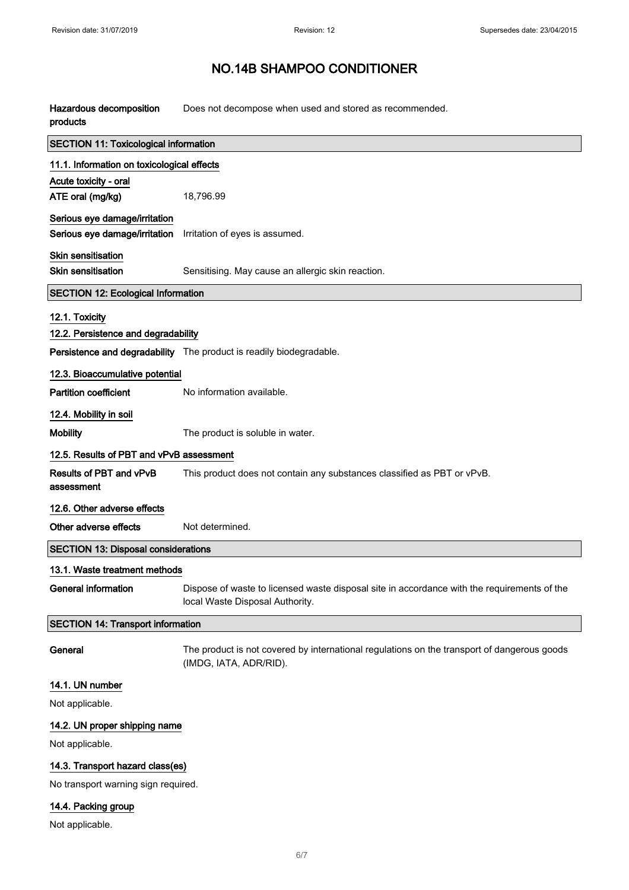| Hazardous decomposition<br>products          | Does not decompose when used and stored as recommended.                                                                        |  |
|----------------------------------------------|--------------------------------------------------------------------------------------------------------------------------------|--|
| <b>SECTION 11: Toxicological information</b> |                                                                                                                                |  |
| 11.1. Information on toxicological effects   |                                                                                                                                |  |
| Acute toxicity - oral                        |                                                                                                                                |  |
| ATE oral (mg/kg)                             | 18,796.99                                                                                                                      |  |
| Serious eye damage/irritation                |                                                                                                                                |  |
| Serious eye damage/irritation                | Irritation of eyes is assumed.                                                                                                 |  |
| Skin sensitisation                           |                                                                                                                                |  |
| <b>Skin sensitisation</b>                    | Sensitising. May cause an allergic skin reaction.                                                                              |  |
| <b>SECTION 12: Ecological Information</b>    |                                                                                                                                |  |
| 12.1. Toxicity                               |                                                                                                                                |  |
| 12.2. Persistence and degradability          |                                                                                                                                |  |
|                                              | Persistence and degradability The product is readily biodegradable.                                                            |  |
| 12.3. Bioaccumulative potential              |                                                                                                                                |  |
| <b>Partition coefficient</b>                 | No information available.                                                                                                      |  |
| 12.4. Mobility in soil                       |                                                                                                                                |  |
| <b>Mobility</b>                              | The product is soluble in water.                                                                                               |  |
| 12.5. Results of PBT and vPvB assessment     |                                                                                                                                |  |
| Results of PBT and vPvB<br>assessment        | This product does not contain any substances classified as PBT or vPvB.                                                        |  |
| 12.6. Other adverse effects                  |                                                                                                                                |  |
| Other adverse effects                        | Not determined.                                                                                                                |  |
| <b>SECTION 13: Disposal considerations</b>   |                                                                                                                                |  |
| 13.1. Waste treatment methods                |                                                                                                                                |  |
| <b>General information</b>                   | Dispose of waste to licensed waste disposal site in accordance with the requirements of the<br>local Waste Disposal Authority. |  |
| <b>SECTION 14: Transport information</b>     |                                                                                                                                |  |
| General                                      | The product is not covered by international regulations on the transport of dangerous goods<br>(IMDG, IATA, ADR/RID).          |  |
| 14.1. UN number                              |                                                                                                                                |  |
| Not applicable.                              |                                                                                                                                |  |
| 14.2. UN proper shipping name                |                                                                                                                                |  |
| Not applicable.                              |                                                                                                                                |  |
| 14.3. Transport hazard class(es)             |                                                                                                                                |  |
| No transport warning sign required.          |                                                                                                                                |  |

## 14.4. Packing group

Not applicable.